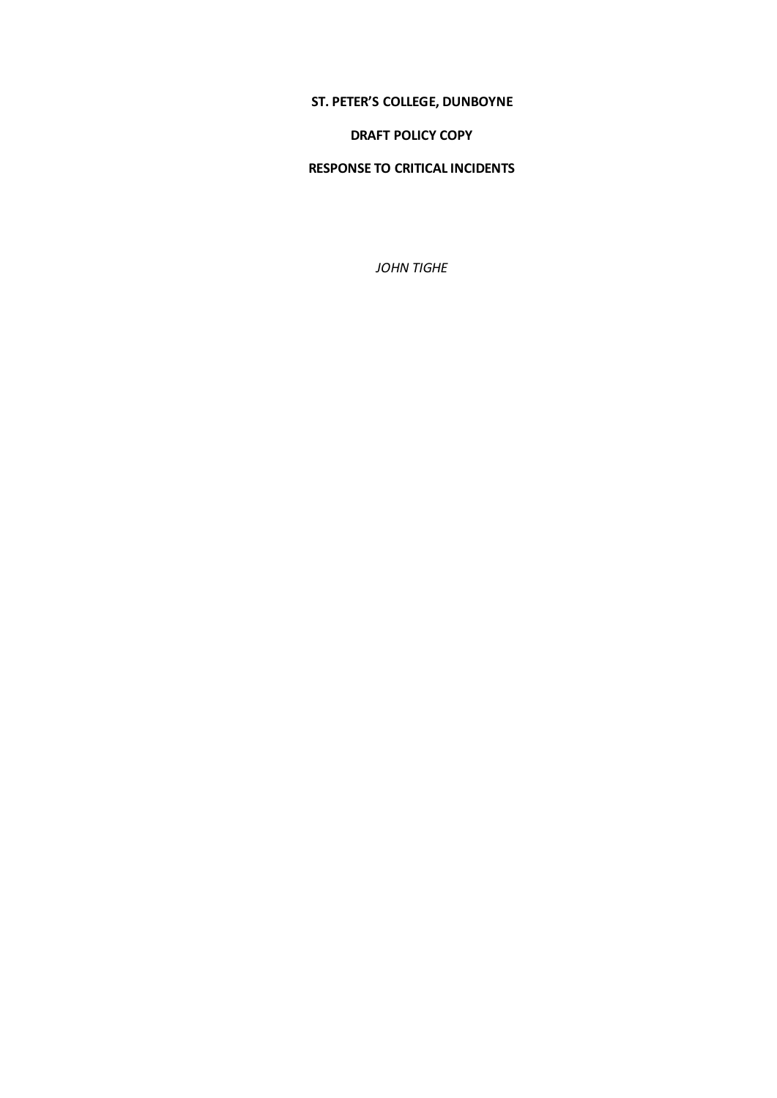# **ST. PETER'S COLLEGE, DUNBOYNE**

#### **DRAFT POLICY COPY**

## **RESPONSE TO CRITICAL INCIDENTS**

*JOHN TIGHE*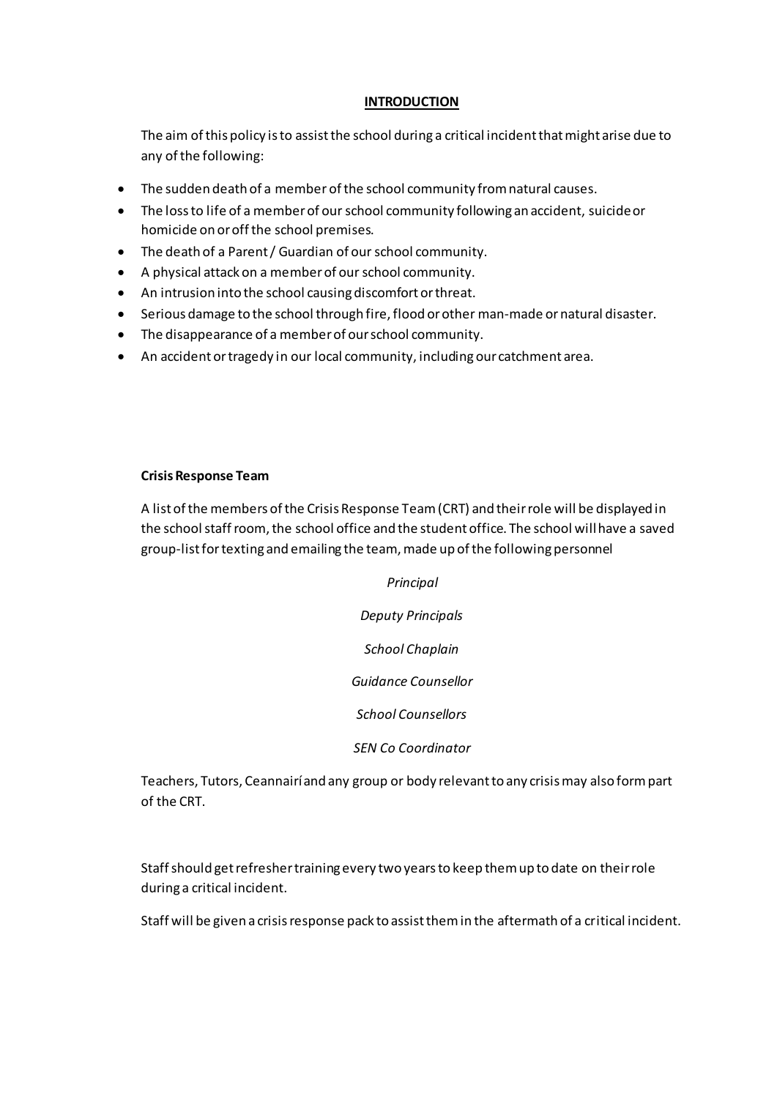### **INTRODUCTION**

The aim of this policy is to assist the school during a critical incident that might arise due to any of the following:

- The sudden death of a member of the school community from natural causes.
- The loss to life of a member of our school community following an accident, suicide or homicide on or off the school premises.
- The death of a Parent / Guardian of our school community.
- A physical attack on a member of our school community.
- An intrusion into the school causing discomfort or threat.
- Serious damage to the school through fire, flood or other man-made or natural disaster.
- The disappearance of a member of our school community.
- An accident or tragedy in our local community, including our catchment area.

### **Crisis Response Team**

A list of the members of the Crisis Response Team (CRT) and their role will be displayed in the school staff room, the school office and the student office. The school will have a saved group-list for texting and emailing the team, made up of the following personnel

> *Principal Deputy Principals School Chaplain Guidance Counsellor School Counsellors SEN Co Coordinator*

Teachers, Tutors, Ceannairí and any group or body relevant to any crisis may also form part of the CRT.

Staff should get refresher training every two years to keep them up to date on their role during a critical incident.

Staff will be given a crisis response pack to assist them in the aftermath of a critical incident.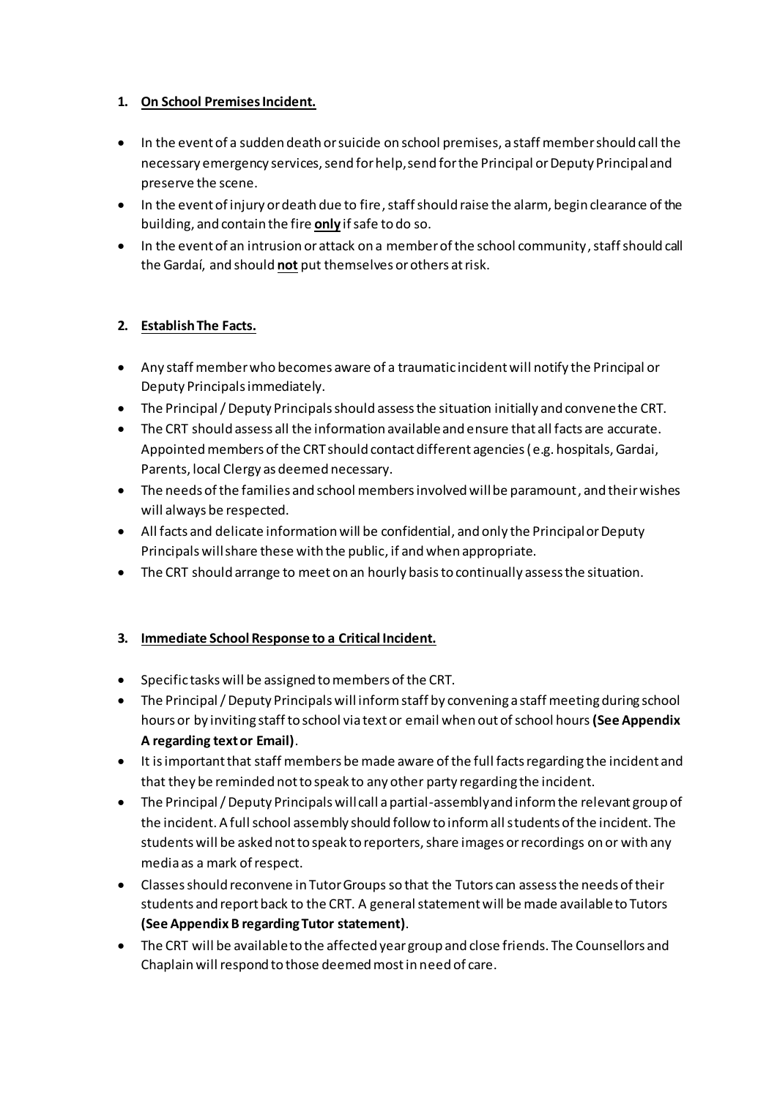# **1. On School Premises Incident.**

- In the event of a sudden death or suicide on school premises, a staff member should call the necessary emergency services, send for help, send for the Principal or Deputy Principal and preserve the scene.
- In the event of injury or death due to fire, staff should raise the alarm, begin clearance of the building, and contain the fire **only** if safe to do so.
- In the event of an intrusion or attack on a member of the school community, staff should call the Gardaí, and should **not** put themselves or others at risk.

# **2. Establish The Facts.**

- Any staff member who becomes aware of a traumatic incident will notify the Principal or Deputy Principals immediately.
- The Principal / Deputy Principals should assess the situation initially and convene the CRT.
- The CRT should assess all the information available and ensure that all facts are accurate. Appointed members of the CRT should contact different agencies (e.g. hospitals, Gardai, Parents, local Clergy as deemed necessary.
- The needs of the families and school members involved will be paramount, and their wishes will always be respected.
- All facts and delicate information will be confidential, and only the Principal or Deputy Principals will share these with the public, if and when appropriate.
- The CRT should arrange to meet on an hourly basis to continually assess the situation.

# **3. Immediate School Response to a Critical Incident.**

- Specific tasks will be assigned to members of the CRT.
- The Principal / Deputy Principals will inform staff by convening a staff meeting during school hours or by inviting staff to school via text or email when out of school hours**(See Appendix A regarding text or Email)**.
- It is important that staff members be made aware of the full facts regarding the incident and that they be reminded not to speak to any other party regarding the incident.
- The Principal / Deputy Principals will call a partial-assembly and inform the relevant group of the incident. A full school assembly should follow to inform all students of the incident. The students will be asked not to speak to reporters, share images or recordings on or with any media as a mark of respect.
- Classes should reconvene in Tutor Groups so that the Tutors can assess the needs of their students and report back to the CRT. A general statement will be made available to Tutors **(See Appendix B regarding Tutor statement)**.
- The CRT will be available to the affected year group and close friends. The Counsellors and Chaplain will respond to those deemed most in need of care.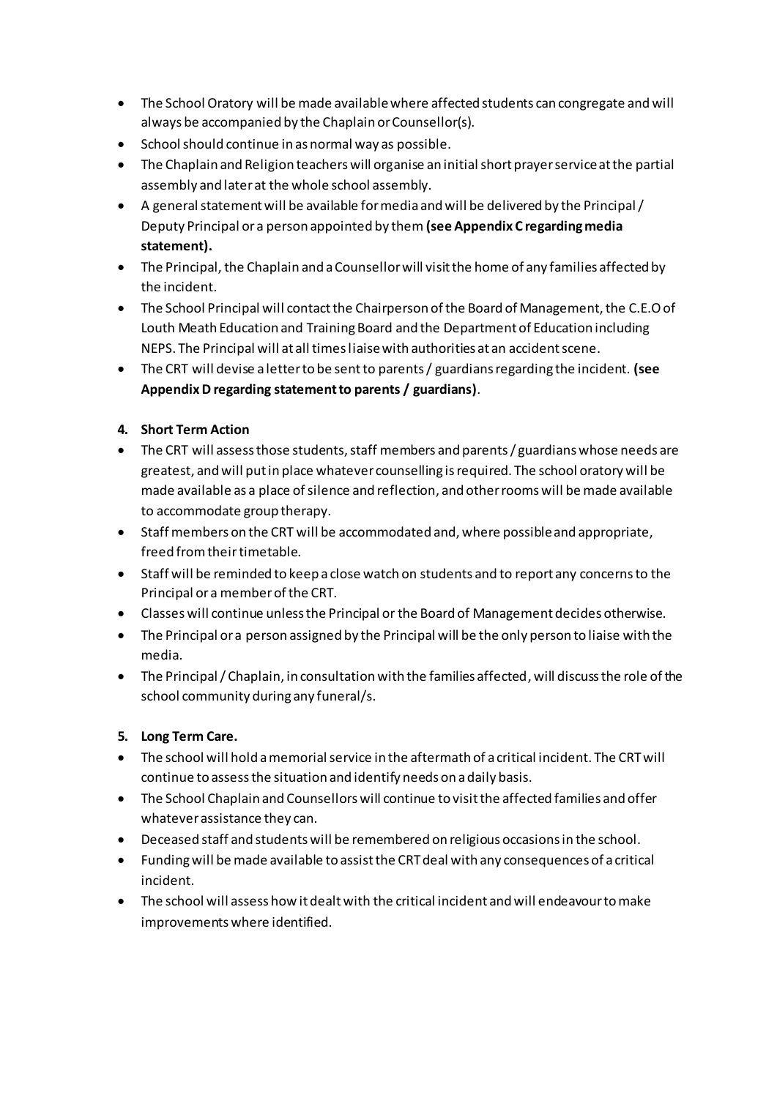- The School Oratory will be made available where affected students can congregate and will always be accompanied by the Chaplain or Counsellor(s).
- School should continue in as normal way as possible.
- The Chaplain and Religion teachers will organise an initial short prayer service at the partial assembly and later at the whole school assembly.
- A general statement will be available for media and will be delivered by the Principal / Deputy Principal or a person appointed by them **(see Appendix C regarding media statement).**
- The Principal, the Chaplain and a Counsellor will visit the home of any families affected by the incident.
- The School Principal will contact the Chairperson of the Board of Management, the C.E.O of Louth Meath Education and Training Board and the Department of Education including NEPS. The Principal will at all times liaise with authorities at an accident scene.
- The CRT will devise a letter to be sent to parents / guardians regarding the incident. **(see AppendixD regarding statement to parents / guardians)**.

# **4. Short Term Action**

- The CRT will assess those students, staff members and parents/ guardians whose needs are greatest, and will put in place whatever counselling is required. The school oratory will be made available as a place of silence and reflection, and other rooms will be made available to accommodate group therapy.
- Staff members on the CRT will be accommodated and, where possible and appropriate, freed from theirtimetable.
- Staff will be reminded to keep a close watch on students and to report any concerns to the Principal or a member of the CRT.
- Classes will continue unless the Principal or the Board of Management decides otherwise.
- The Principal or a person assigned by the Principal will be the only person to liaise with the media.
- The Principal / Chaplain, in consultation with the families affected, will discuss the role of the school community during any funeral/s.

# **5. Long Term Care.**

- The school will hold a memorial service in the aftermath of a critical incident. The CRT will continue to assess the situation and identify needs on a daily basis.
- The School Chaplain and Counsellors will continue to visit the affected families and offer whatever assistance they can.
- Deceased staff and students will be remembered on religious occasions in the school.
- Funding will be made available to assist the CRT deal with any consequences of a critical incident.
- The school will assess how it dealt with the critical incident and will endeavour to make improvements where identified.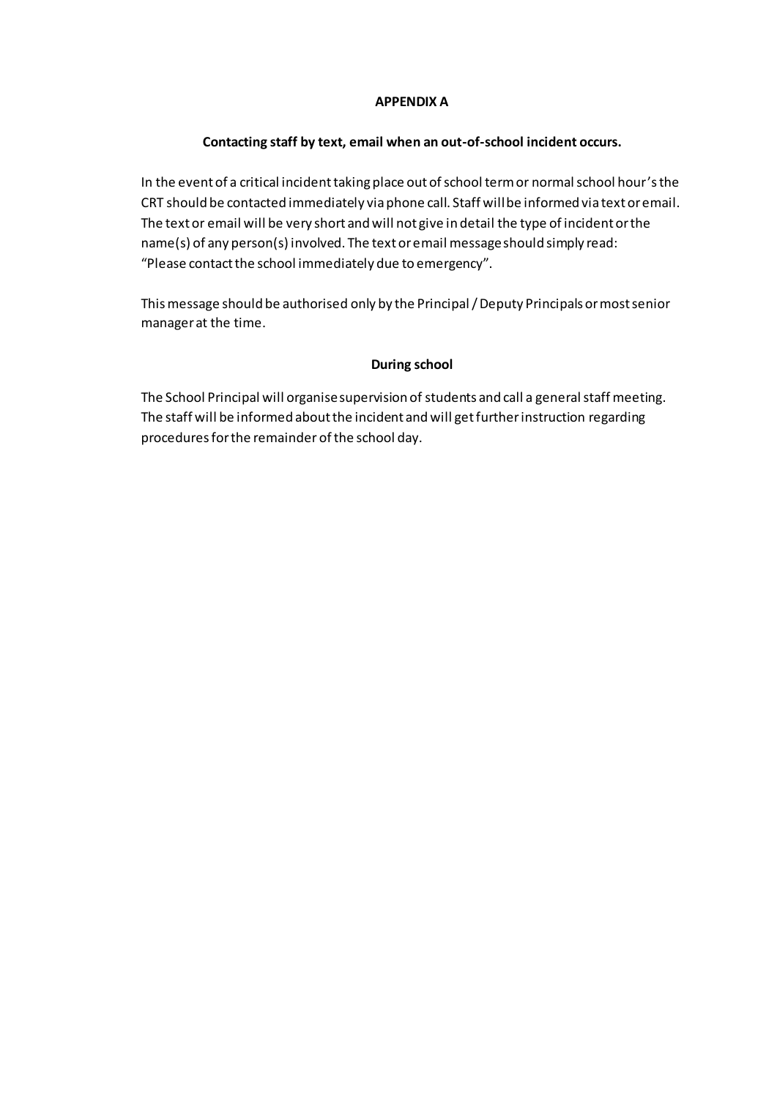### **APPENDIX A**

## **Contacting staff by text, email when an out-of-school incident occurs.**

In the event of a critical incident taking place out of school term or normal school hour's the CRT should be contacted immediately via phone call. Staff will be informed via text or email. The text or email will be very short and will not give in detail the type of incident or the name(s) of any person(s) involved. The text or email message should simply read: "Please contact the school immediately due to emergency".

This message should be authorised only by the Principal / Deputy Principals or most senior manager at the time.

## **During school**

The School Principal will organise supervision of students and call a general staff meeting. The staff will be informed about the incident and will get further instruction regarding procedures for the remainder of the school day.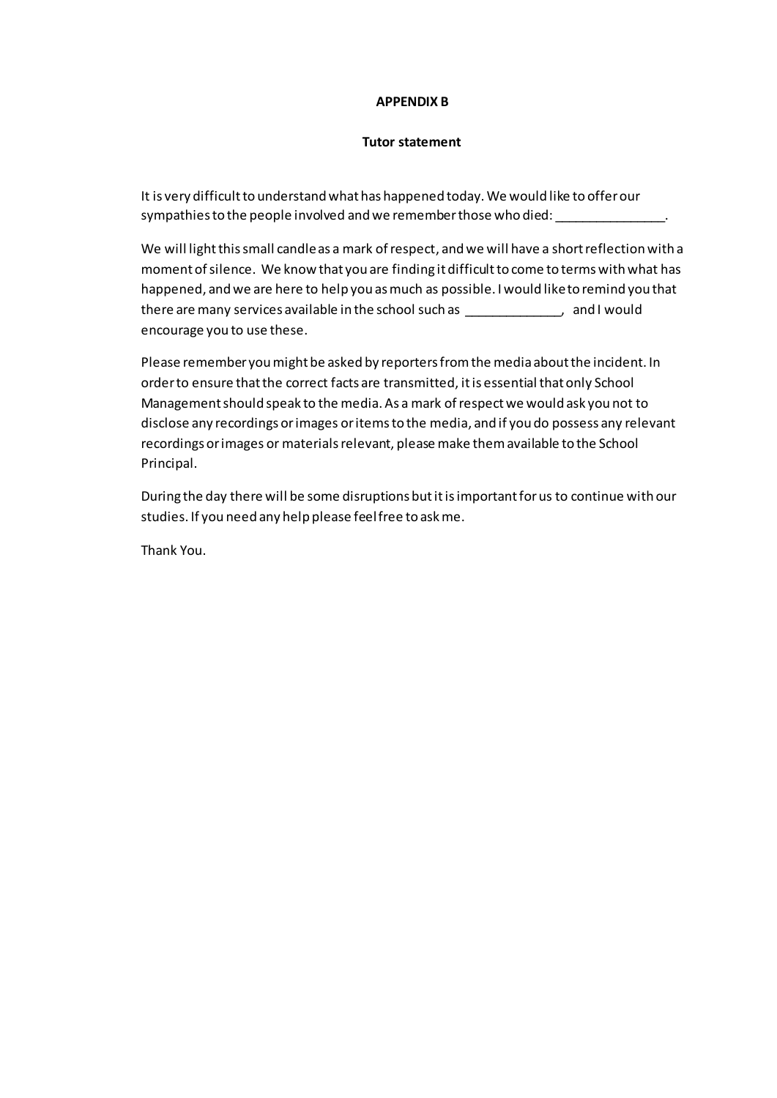#### **APPENDIX B**

#### **Tutor statement**

It is very difficult to understand what has happened today. We would like to offer our sympathies to the people involved and we remember those who died:

We will light this small candle as a mark of respect, and we will have a short reflection with a moment of silence. We know that you are finding it difficult to come to terms with what has happened, and we are here to help you as much as possible. I would like to remind you that there are many services available in the school such as  $\qquad \qquad$ , and I would encourage you to use these.

Please remember you might be asked by reporters from the media about the incident. In order to ensure that the correct facts are transmitted, it is essential that only School Management should speak to the media. As a mark of respect we would ask you not to disclose any recordings or images or itemsto the media, and if you do possess any relevant recordings or images or materialsrelevant, please make them available to the School Principal.

During the day there will be some disruptions but it is important for us to continue with our studies. If you need any help please feel free to ask me.

Thank You.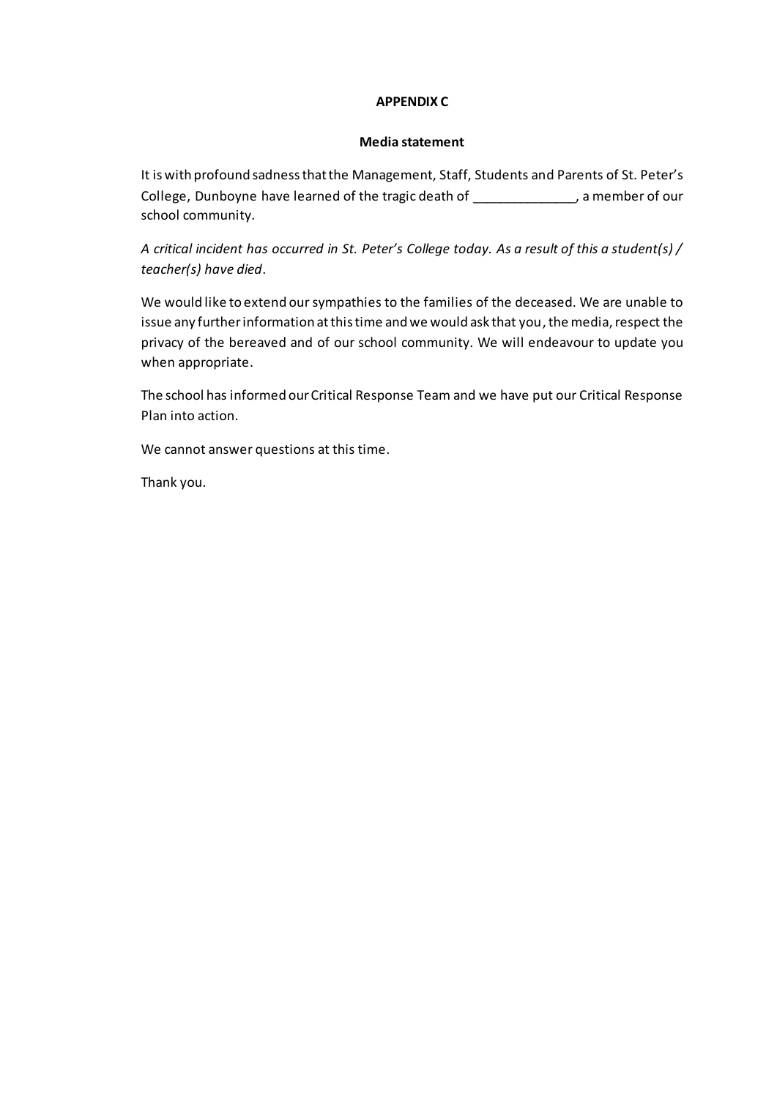### **APPENDIX C**

#### **Media statement**

It is with profound sadness that the Management, Staff, Students and Parents of St. Peter's College, Dunboyne have learned of the tragic death of \_\_\_\_\_\_\_\_\_\_\_\_\_, a member of our school community.

*A critical incident has occurred in St. Peter's College today. As a result of this a student(s) / teacher(s) have died*.

We would like to extend our sympathies to the families of the deceased. We are unable to issue any further information at this time and we would ask that you, the media, respect the privacy of the bereaved and of our school community. We will endeavour to update you when appropriate.

The school has informed our Critical Response Team and we have put our Critical Response Plan into action.

We cannot answer questions at this time.

Thank you.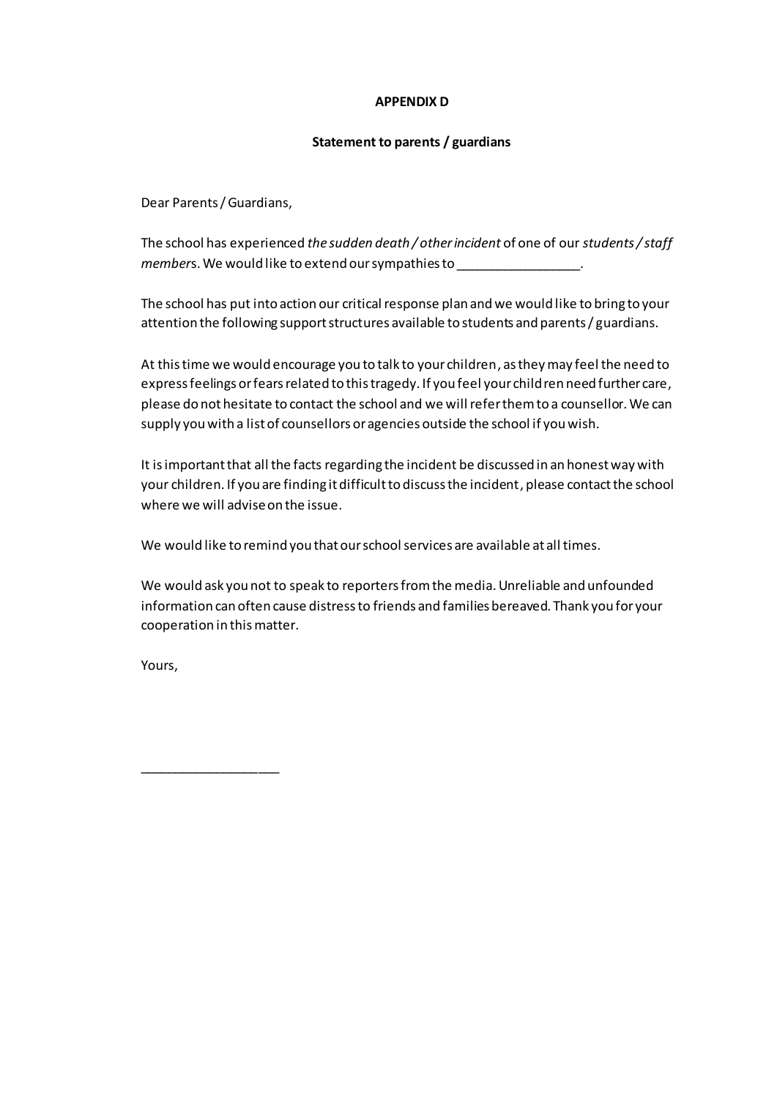### **APPENDIX D**

### **Statement to parents / guardians**

Dear Parents / Guardians,

The school has experienced *the sudden death / other incident* of one of our *students / staff member*s. We would like to extend our sympathies to \_\_\_\_\_\_\_\_\_\_\_\_\_\_\_\_\_\_.

The school has put into action our critical response plan and we would like to bring to your attention the following support structures available to students and parents / guardians.

At this time we would encourage you to talk to your children, as they may feel the need to express feelings or fears related to this tragedy. If you feel your children need further care, please do not hesitate to contact the school and we will refer them to a counsellor. We can supply you with a list of counsellors or agencies outside the school if you wish.

It is important that all the facts regarding the incident be discussed in an honest way with your children. If you are finding it difficult to discuss the incident, please contact the school where we will adviseon the issue.

We would like to remind you that our school services are available at all times.

We would ask you not to speak to reporters from the media. Unreliable and unfounded information can often cause distress to friends and families bereaved. Thank you for your cooperation in this matter.

Yours,

\_\_\_\_\_\_\_\_\_\_\_\_\_\_\_\_\_\_\_\_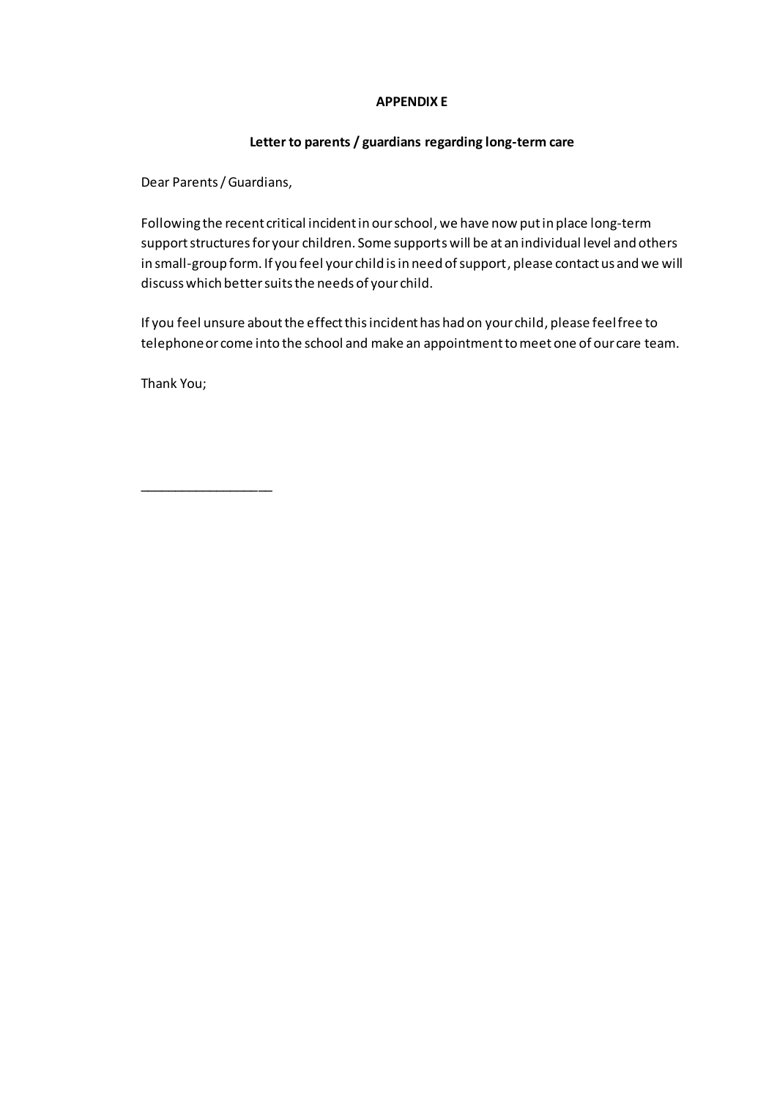## **APPENDIX E**

## **Letter to parents / guardians regarding long-term care**

Dear Parents / Guardians,

Following the recent critical incident in our school, we have now put in place long-term support structures for your children. Some supports will be at an individual level and others in small-group form. If you feel your child is in need of support, please contact us and we will discuss which bettersuits the needs of your child.

If you feel unsure about the effect this incident has had on your child, please feel free to telephone or come into the school and make an appointment to meet one of our care team.

Thank You;

\_\_\_\_\_\_\_\_\_\_\_\_\_\_\_\_\_\_\_